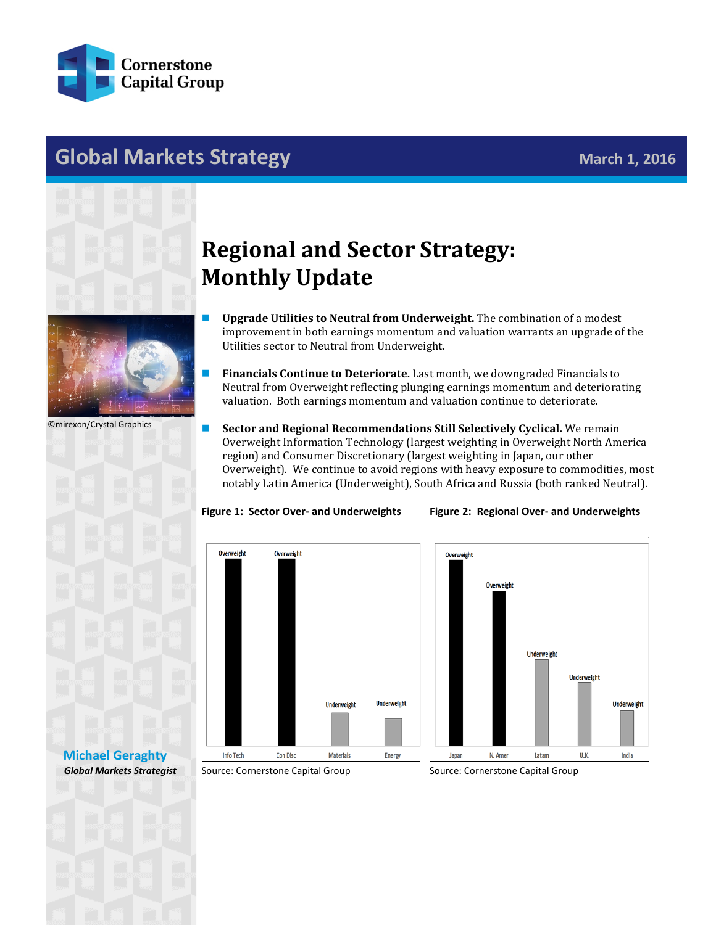

## **Global Markets Strategy Markets Strategy March 1, 2016**



## **Regional and Sector Strategy: Monthly Update**

- **Upgrade Utilities to Neutral from Underweight.** The combination of a modest improvement in both earnings momentum and valuation warrants an upgrade of the Utilities sector to Neutral from Underweight.
- **Financials Continue to Deteriorate.** Last month, we downgraded Financials to Neutral from Overweight reflecting plunging earnings momentum and deteriorating valuation. Both earnings momentum and valuation continue to deteriorate.

Overweight Information Technology (largest weighting in Overweight North America

©mirexon/Crystal Graphics



Info Tech

Con Disc

## region) and Consumer Discretionary (largest weighting in Japan, our other Overweight). We continue to avoid regions with heavy exposure to commodities, most notably Latin America (Underweight), South Africa and Russia (both ranked Neutral). **Figure 1: Sector Over- and Underweights Figure 2: Regional Over- and Underweights**

**Sector and Regional Recommendations Still Selectively Cyclical.** We remain



**[Michael Geraghty](mailto:michael.geraghty@cornerstonecapinc.com)** *Global Markets Strategist*